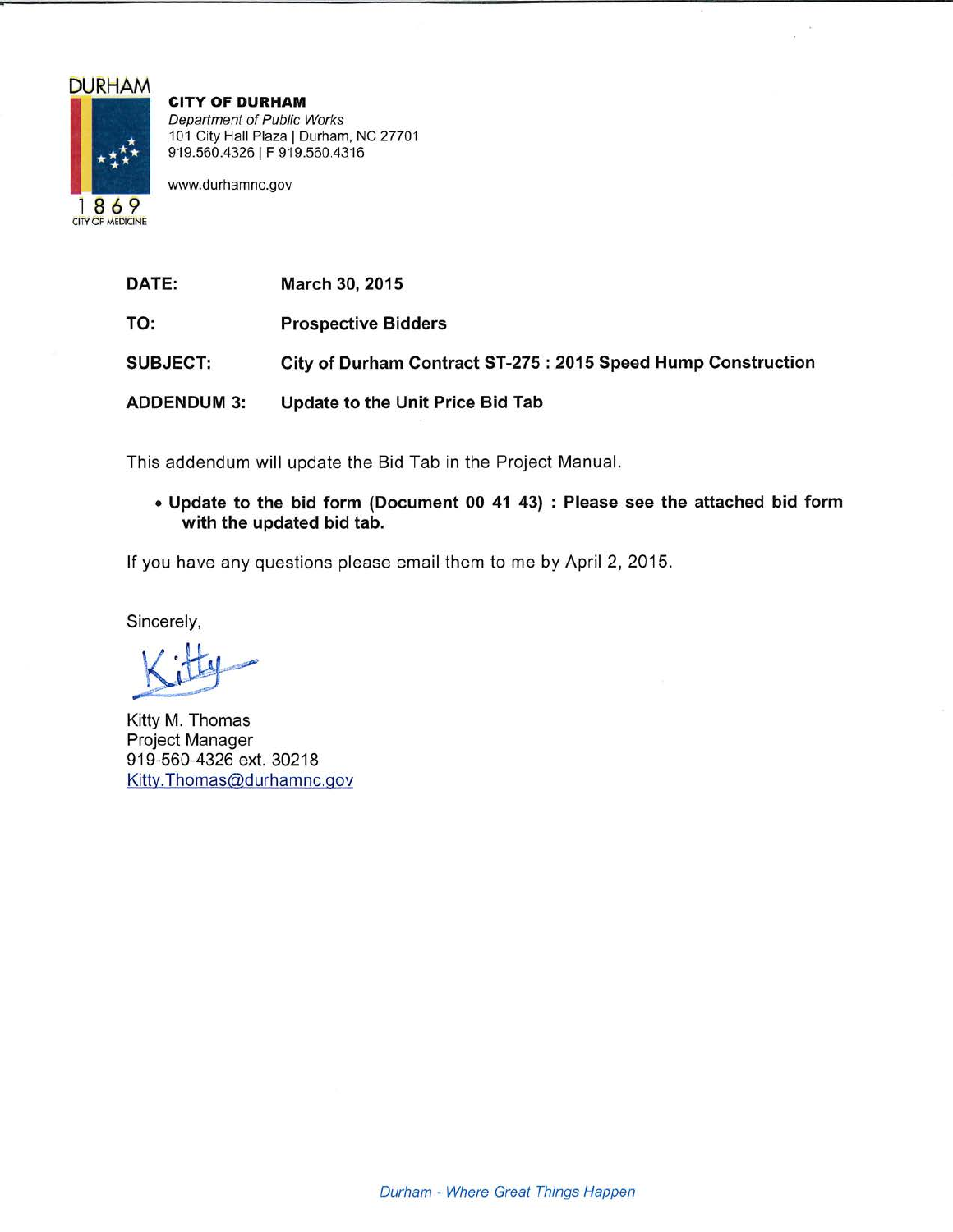# **DURHAM**



**CITY OF DURHAM** Department of Public Works 101 City Hall Plaza | Durham, NC 27701 919.560.4326 | F 919.560.4316

www.durhamnc.gov

| <b>DATE:</b>       | March 30, 2015                                                |
|--------------------|---------------------------------------------------------------|
| TO:                | <b>Prospective Bidders</b>                                    |
| <b>SUBJECT:</b>    | City of Durham Contract ST-275 : 2015 Speed Hump Construction |
| <b>ADDENDUM 3:</b> | Update to the Unit Price Bid Tab                              |

This addendum will update the Bid Tab in the Project Manual.

. Update to the bid form (Document 00 41 43) : Please see the attached bid form with the updated bid tab.

If you have any questions please email them to me by April 2, 2015.

Sincerely,

Kitty M. Thomas Project Manager 919-560-4326 ext. 30218 Kitty.Thomas@durhamnc.gov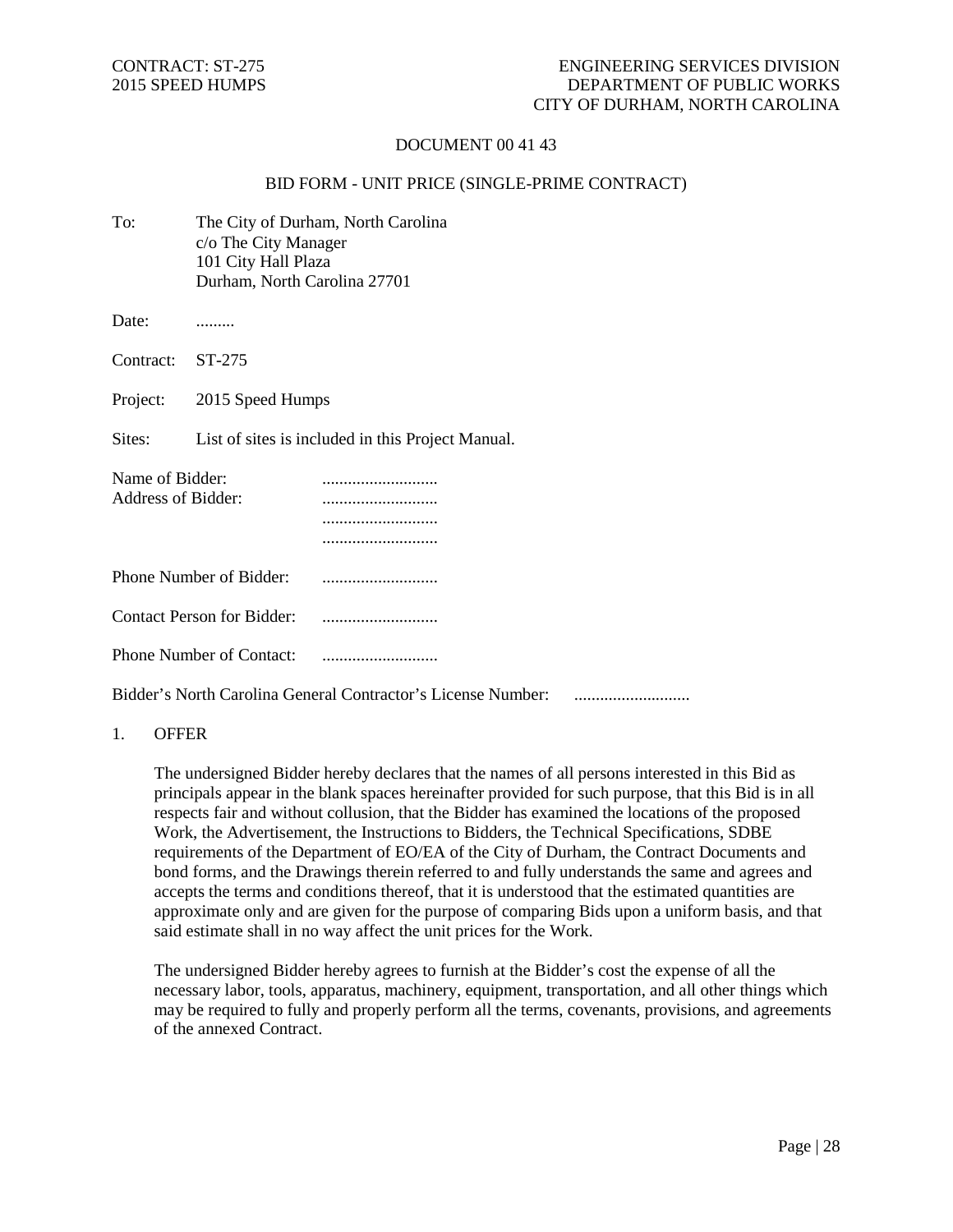# DOCUMENT 00 41 43

### BID FORM - UNIT PRICE (SINGLE-PRIME CONTRACT)

| To:                                   | The City of Durham, North Carolina<br>c/o The City Manager<br>101 City Hall Plaza<br>Durham, North Carolina 27701 |                                                              |  |
|---------------------------------------|-------------------------------------------------------------------------------------------------------------------|--------------------------------------------------------------|--|
| Date:                                 |                                                                                                                   |                                                              |  |
| Contract:                             | ST-275                                                                                                            |                                                              |  |
| Project:                              | 2015 Speed Humps                                                                                                  |                                                              |  |
| Sites:                                | List of sites is included in this Project Manual.                                                                 |                                                              |  |
| Name of Bidder:<br>Address of Bidder: |                                                                                                                   | <br>                                                         |  |
|                                       | Phone Number of Bidder:                                                                                           |                                                              |  |
| <b>Contact Person for Bidder:</b>     |                                                                                                                   |                                                              |  |
|                                       | <b>Phone Number of Contact:</b>                                                                                   |                                                              |  |
|                                       |                                                                                                                   | Bidder's North Carolina General Contractor's License Number: |  |

#### 1. OFFER

The undersigned Bidder hereby declares that the names of all persons interested in this Bid as principals appear in the blank spaces hereinafter provided for such purpose, that this Bid is in all respects fair and without collusion, that the Bidder has examined the locations of the proposed Work, the Advertisement, the Instructions to Bidders, the Technical Specifications, SDBE requirements of the Department of EO/EA of the City of Durham, the Contract Documents and bond forms, and the Drawings therein referred to and fully understands the same and agrees and accepts the terms and conditions thereof, that it is understood that the estimated quantities are approximate only and are given for the purpose of comparing Bids upon a uniform basis, and that said estimate shall in no way affect the unit prices for the Work.

The undersigned Bidder hereby agrees to furnish at the Bidder's cost the expense of all the necessary labor, tools, apparatus, machinery, equipment, transportation, and all other things which may be required to fully and properly perform all the terms, covenants, provisions, and agreements of the annexed Contract.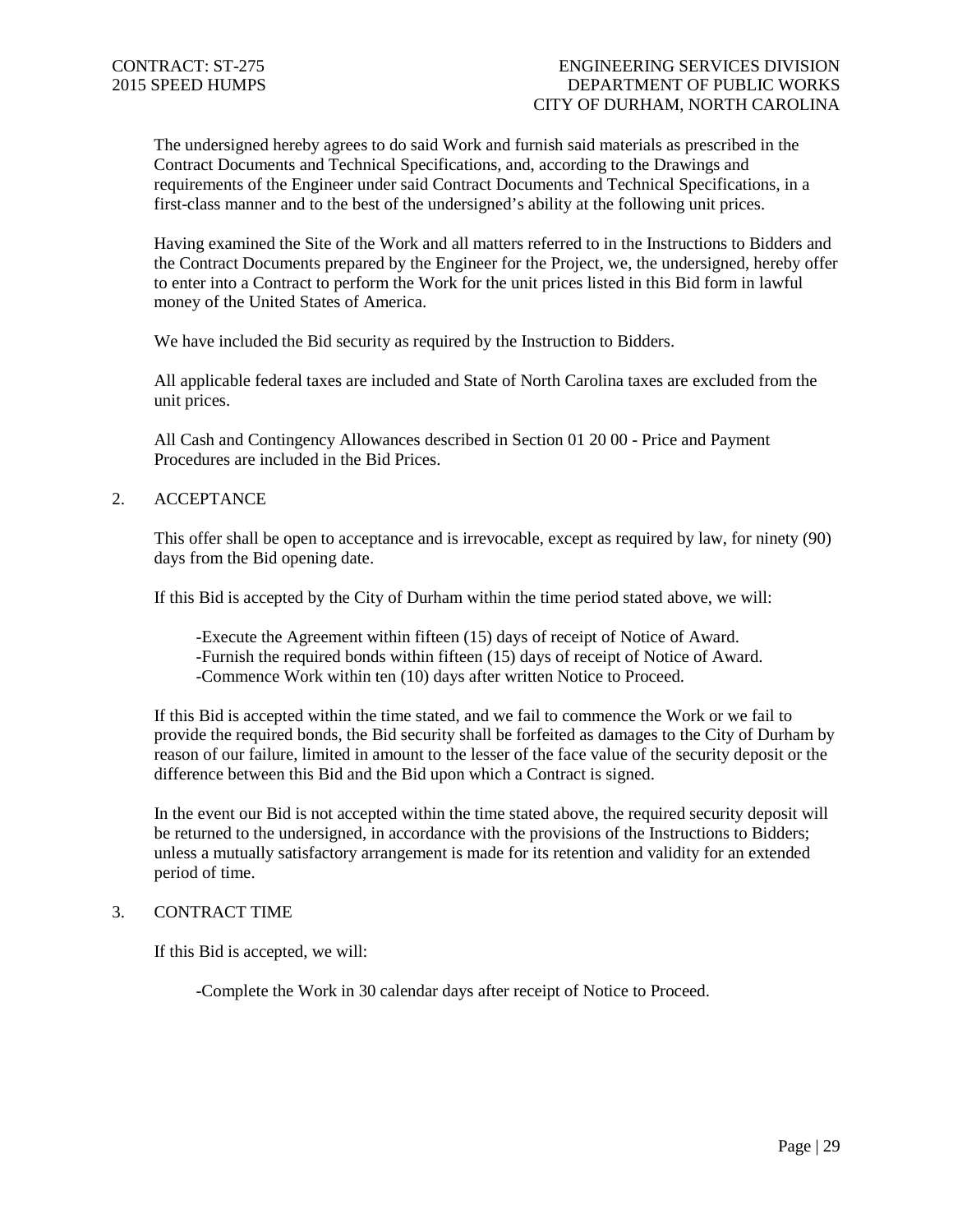The undersigned hereby agrees to do said Work and furnish said materials as prescribed in the Contract Documents and Technical Specifications, and, according to the Drawings and requirements of the Engineer under said Contract Documents and Technical Specifications, in a first-class manner and to the best of the undersigned's ability at the following unit prices.

Having examined the Site of the Work and all matters referred to in the Instructions to Bidders and the Contract Documents prepared by the Engineer for the Project, we, the undersigned, hereby offer to enter into a Contract to perform the Work for the unit prices listed in this Bid form in lawful money of the United States of America.

We have included the Bid security as required by the Instruction to Bidders.

All applicable federal taxes are included and State of North Carolina taxes are excluded from the unit prices.

All Cash and Contingency Allowances described in Section 01 20 00 - Price and Payment Procedures are included in the Bid Prices.

2. ACCEPTANCE

This offer shall be open to acceptance and is irrevocable, except as required by law, for ninety (90) days from the Bid opening date.

If this Bid is accepted by the City of Durham within the time period stated above, we will:

-Execute the Agreement within fifteen (15) days of receipt of Notice of Award. -Furnish the required bonds within fifteen (15) days of receipt of Notice of Award. -Commence Work within ten (10) days after written Notice to Proceed.

If this Bid is accepted within the time stated, and we fail to commence the Work or we fail to provide the required bonds, the Bid security shall be forfeited as damages to the City of Durham by reason of our failure, limited in amount to the lesser of the face value of the security deposit or the difference between this Bid and the Bid upon which a Contract is signed.

In the event our Bid is not accepted within the time stated above, the required security deposit will be returned to the undersigned, in accordance with the provisions of the Instructions to Bidders; unless a mutually satisfactory arrangement is made for its retention and validity for an extended period of time.

#### 3. CONTRACT TIME

If this Bid is accepted, we will:

-Complete the Work in 30 calendar days after receipt of Notice to Proceed.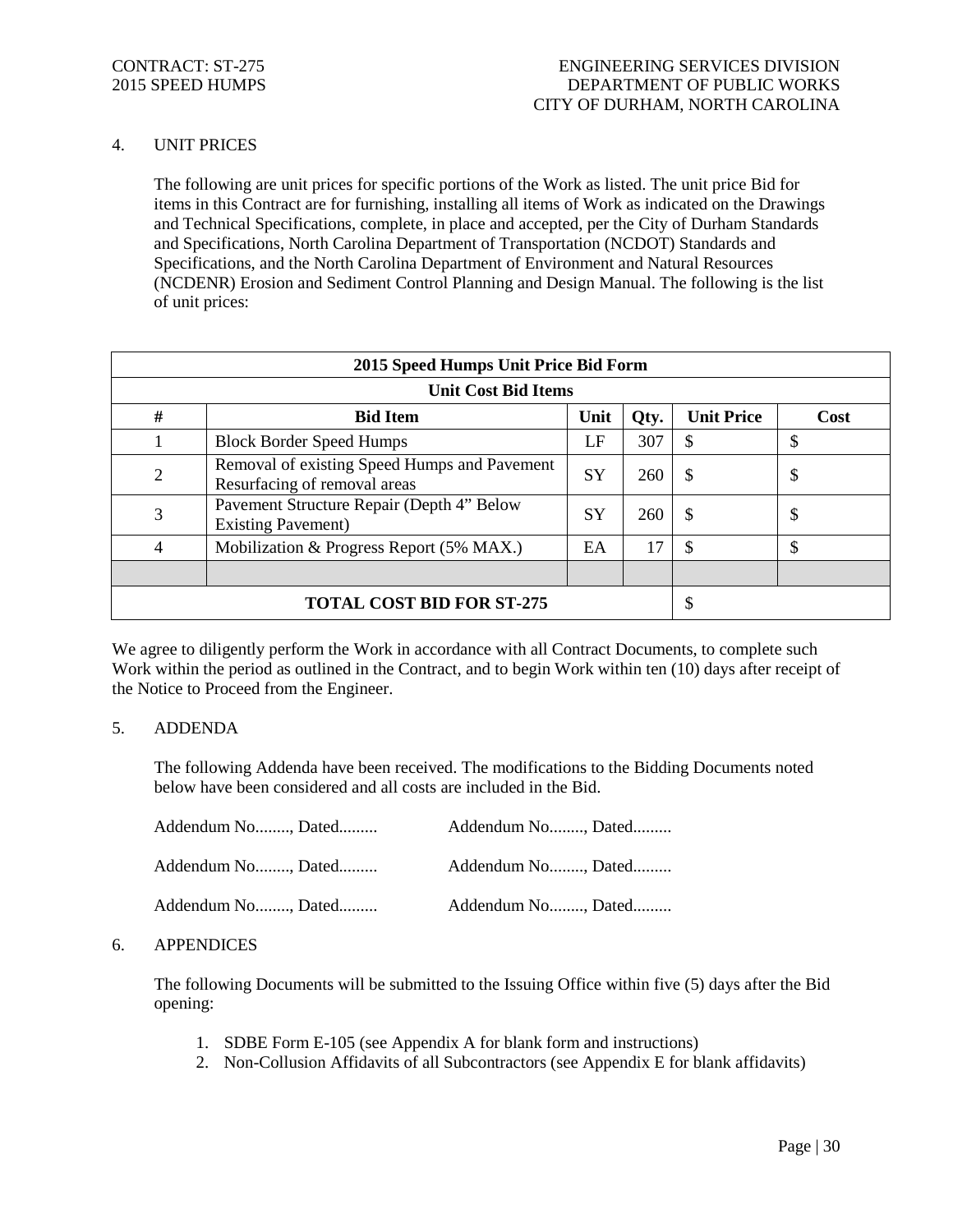# 4. UNIT PRICES

The following are unit prices for specific portions of the Work as listed. The unit price Bid for items in this Contract are for furnishing, installing all items of Work as indicated on the Drawings and Technical Specifications, complete, in place and accepted, per the City of Durham Standards and Specifications, North Carolina Department of Transportation (NCDOT) Standards and Specifications, and the North Carolina Department of Environment and Natural Resources (NCDENR) Erosion and Sediment Control Planning and Design Manual. The following is the list of unit prices:

| 2015 Speed Humps Unit Price Bid Form |                                                                              |           |      |                   |      |
|--------------------------------------|------------------------------------------------------------------------------|-----------|------|-------------------|------|
| <b>Unit Cost Bid Items</b>           |                                                                              |           |      |                   |      |
| #                                    | <b>Bid Item</b>                                                              | Unit      | Qty. | <b>Unit Price</b> | Cost |
|                                      | <b>Block Border Speed Humps</b>                                              | LF        | 307  | \$                | \$   |
| $\overline{2}$                       | Removal of existing Speed Humps and Pavement<br>Resurfacing of removal areas | <b>SY</b> | 260  | <sup>\$</sup>     | \$   |
| 3                                    | Pavement Structure Repair (Depth 4" Below<br><b>Existing Pavement</b> )      | <b>SY</b> | 260  | $\mathcal{S}$     | \$   |
| 4                                    | Mobilization & Progress Report (5% MAX.)                                     | EA        | 17   | \$                | \$   |
|                                      |                                                                              |           |      |                   |      |
| <b>TOTAL COST BID FOR ST-275</b>     |                                                                              |           | \$   |                   |      |

We agree to diligently perform the Work in accordance with all Contract Documents, to complete such Work within the period as outlined in the Contract, and to begin Work within ten (10) days after receipt of the Notice to Proceed from the Engineer.

# 5. ADDENDA

The following Addenda have been received. The modifications to the Bidding Documents noted below have been considered and all costs are included in the Bid.

| Addendum No, Dated | Addendum No, Dated |
|--------------------|--------------------|
| Addendum No, Dated | Addendum No, Dated |
| Addendum No, Dated | Addendum No, Dated |

#### 6. APPENDICES

The following Documents will be submitted to the Issuing Office within five (5) days after the Bid opening:

- 1. SDBE Form E-105 (see Appendix A for blank form and instructions)
- 2. Non-Collusion Affidavits of all Subcontractors (see Appendix E for blank affidavits)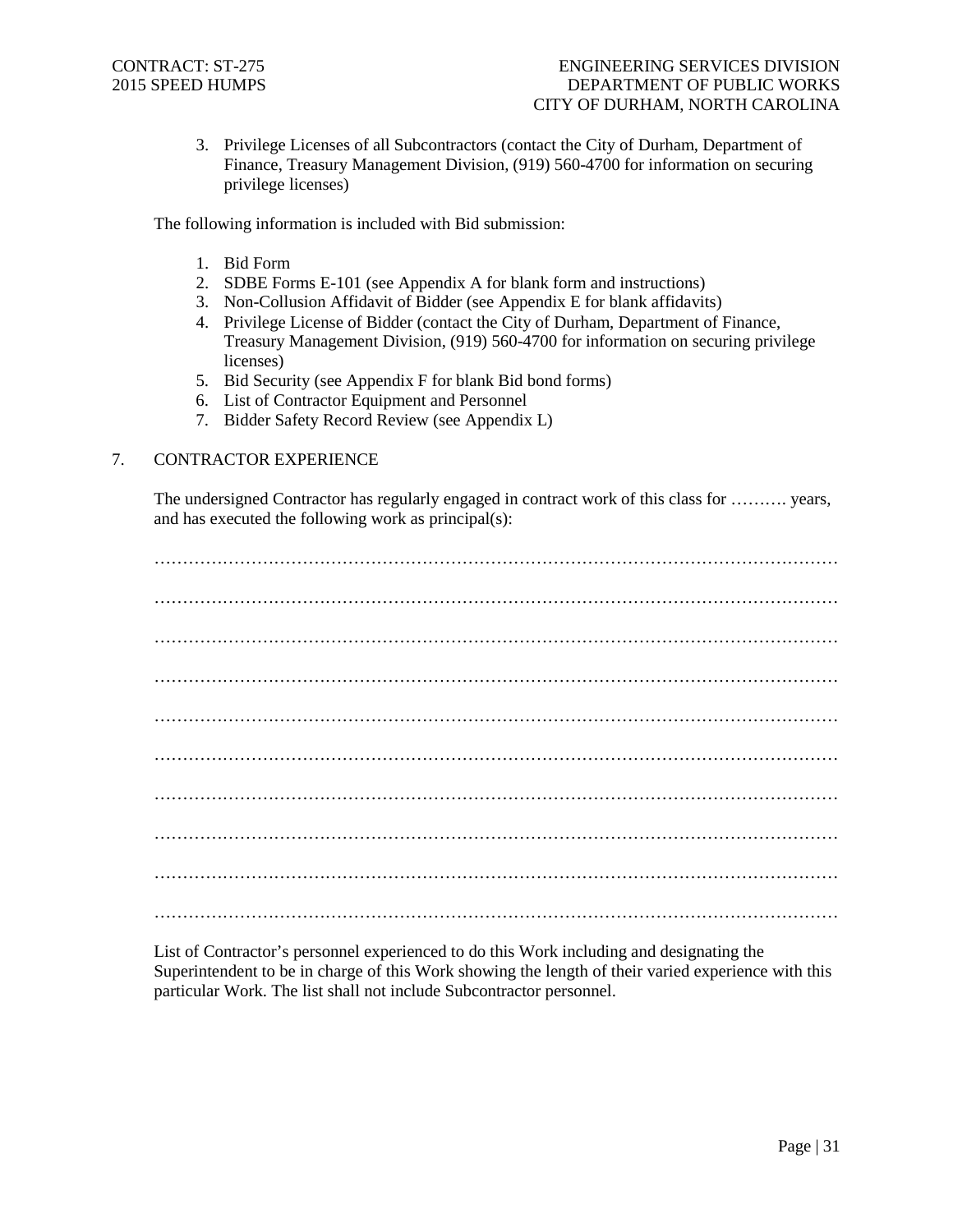3. Privilege Licenses of all Subcontractors (contact the City of Durham, Department of Finance, Treasury Management Division, (919) 560-4700 for information on securing privilege licenses)

The following information is included with Bid submission:

- 1. Bid Form
- 2. SDBE Forms E-101 (see Appendix A for blank form and instructions)
- 3. Non-Collusion Affidavit of Bidder (see Appendix E for blank affidavits)
- 4. Privilege License of Bidder (contact the City of Durham, Department of Finance, Treasury Management Division, (919) 560-4700 for information on securing privilege licenses)
- 5. Bid Security (see Appendix F for blank Bid bond forms)
- 6. List of Contractor Equipment and Personnel
- 7. Bidder Safety Record Review (see Appendix L)

# 7. CONTRACTOR EXPERIENCE

The undersigned Contractor has regularly engaged in contract work of this class for ………. years, and has executed the following work as principal(s):

………………………………………………………………………………………………………… ………………………………………………………………………………………………………… ………………………………………………………………………………………………………… ………………………………………………………………………………………………………… ………………………………………………………………………………………………………… ………………………………………………………………………………………………………… ………………………………………………………………………………………………………… ………………………………………………………………………………………………………… ………………………………………………………………………………………………………… …………………………………………………………………………………………………………

List of Contractor's personnel experienced to do this Work including and designating the Superintendent to be in charge of this Work showing the length of their varied experience with this particular Work. The list shall not include Subcontractor personnel.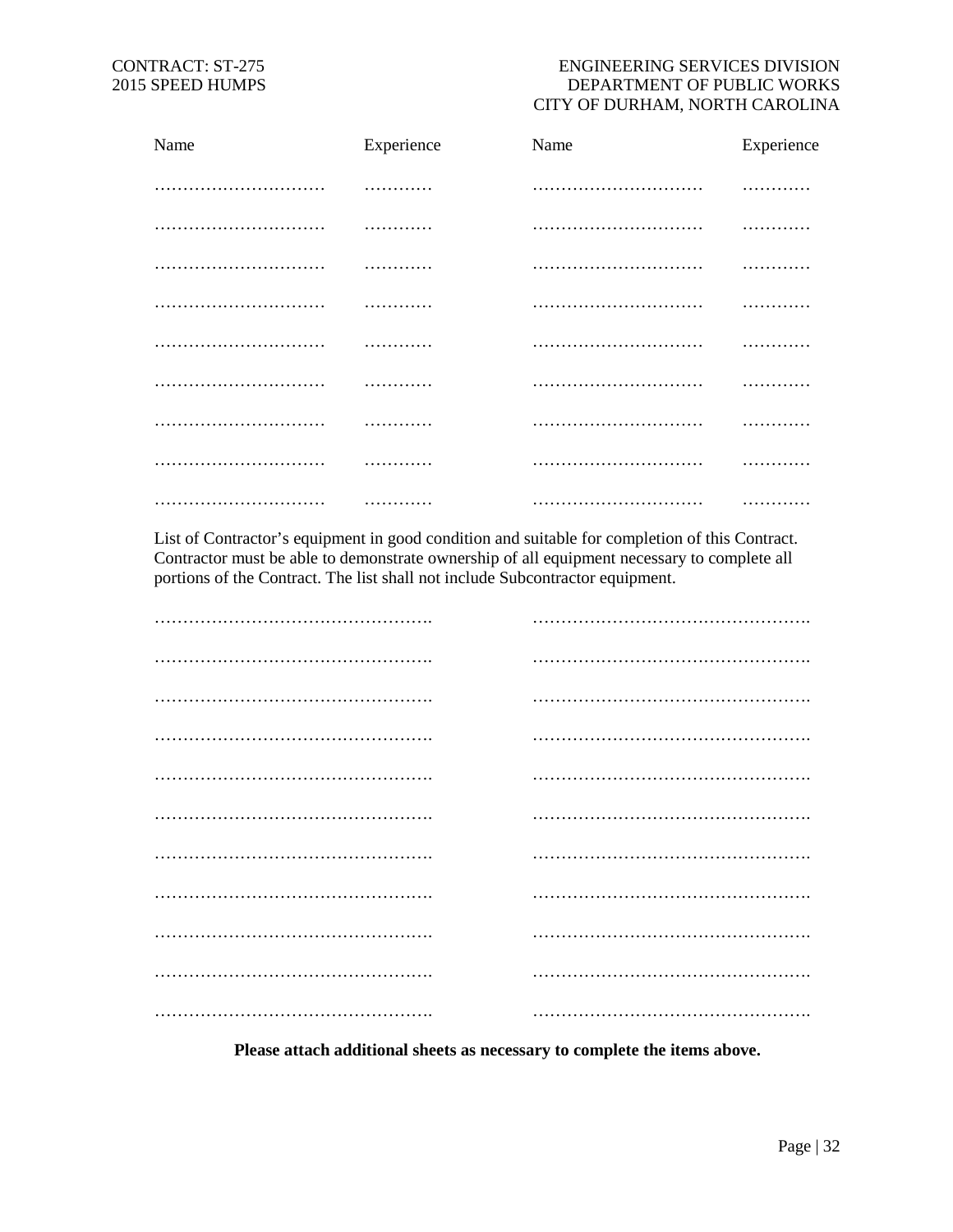# CONTRACT: ST-275 ENGINEERING SERVICES DIVISION 2015 SPEED HUMPS DEPARTMENT OF PUBLIC WORKS CITY OF DURHAM, NORTH CAROLINA

| Name | Experience | Name | Experience |
|------|------------|------|------------|
|      | .          |      |            |
|      | .          |      | .          |
|      | .          |      | .          |
|      | .          |      | .          |
|      |            |      | .          |
|      |            |      | .          |
|      |            |      |            |
|      |            |      |            |
|      | .          |      | .          |

List of Contractor's equipment in good condition and suitable for completion of this Contract. Contractor must be able to demonstrate ownership of all equipment necessary to complete all portions of the Contract. The list shall not include Subcontractor equipment.

**Please attach additional sheets as necessary to complete the items above.**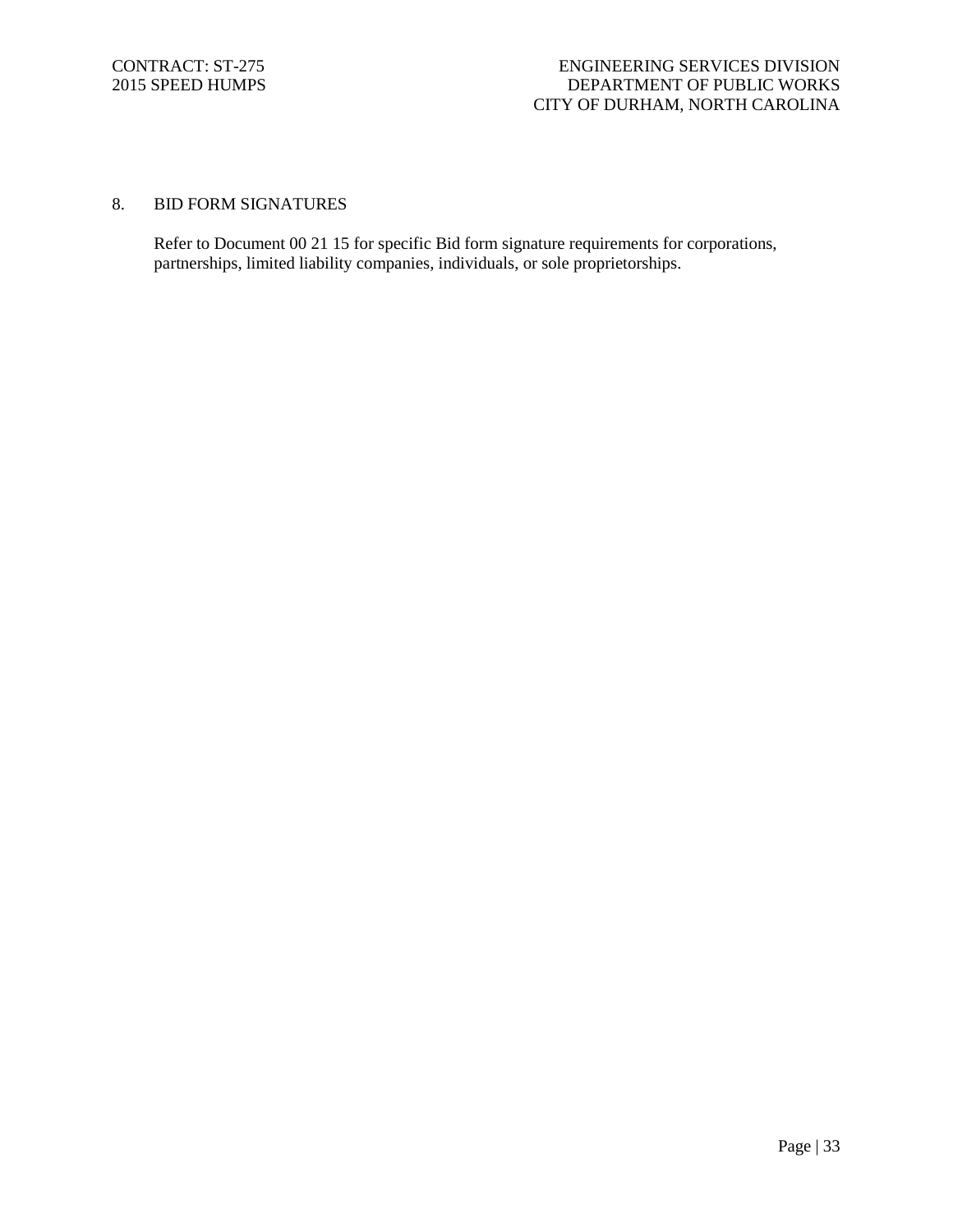# 8. BID FORM SIGNATURES

Refer to Document 00 21 15 for specific Bid form signature requirements for corporations, partnerships, limited liability companies, individuals, or sole proprietorships.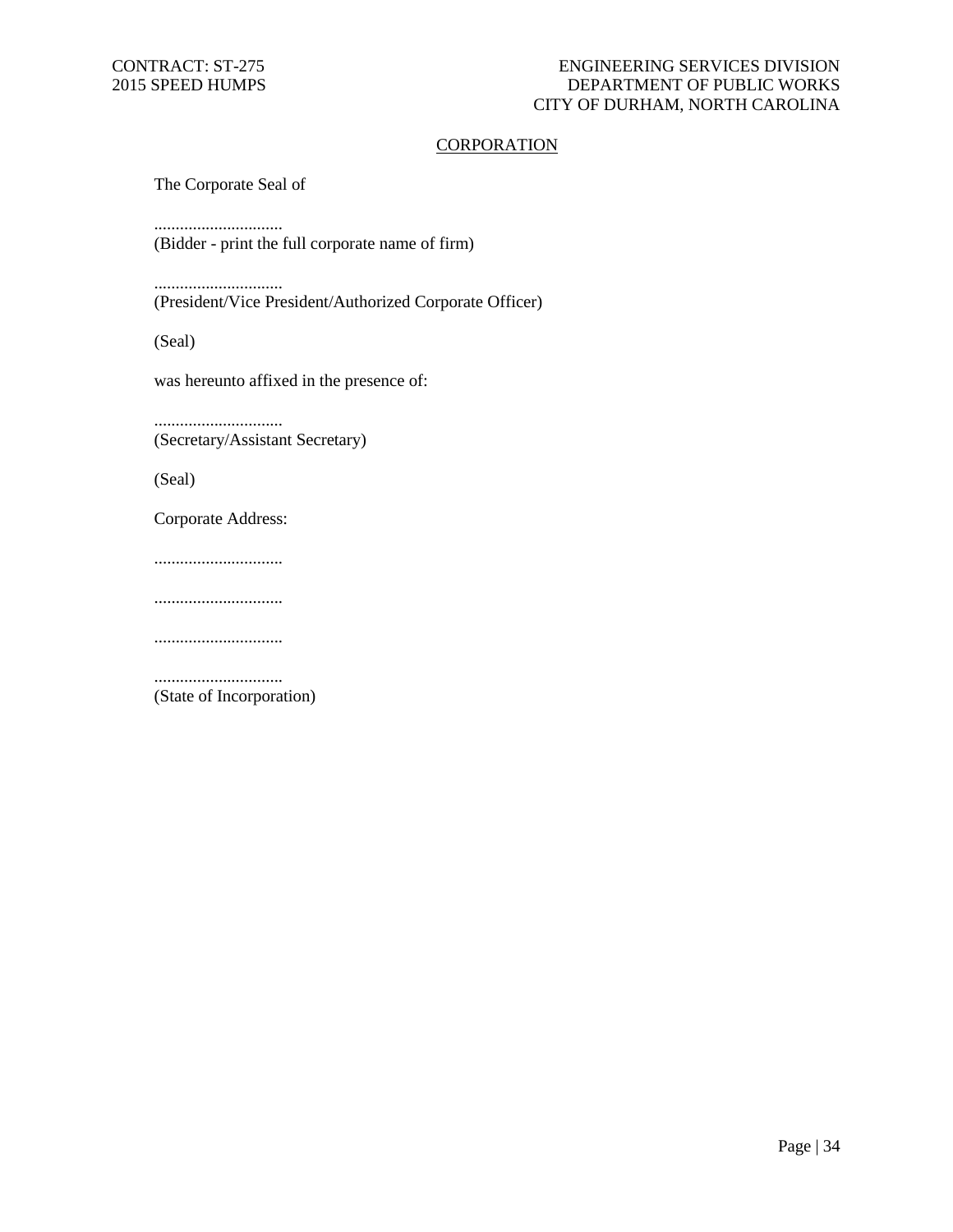# **CORPORATION**

The Corporate Seal of

..............................

(Bidder - print the full corporate name of firm)

..............................

(President/Vice President/Authorized Corporate Officer)

(Seal)

was hereunto affixed in the presence of:

.............................. (Secretary/Assistant Secretary)

(Seal)

Corporate Address:

..............................

..............................

..............................

.............................. (State of Incorporation)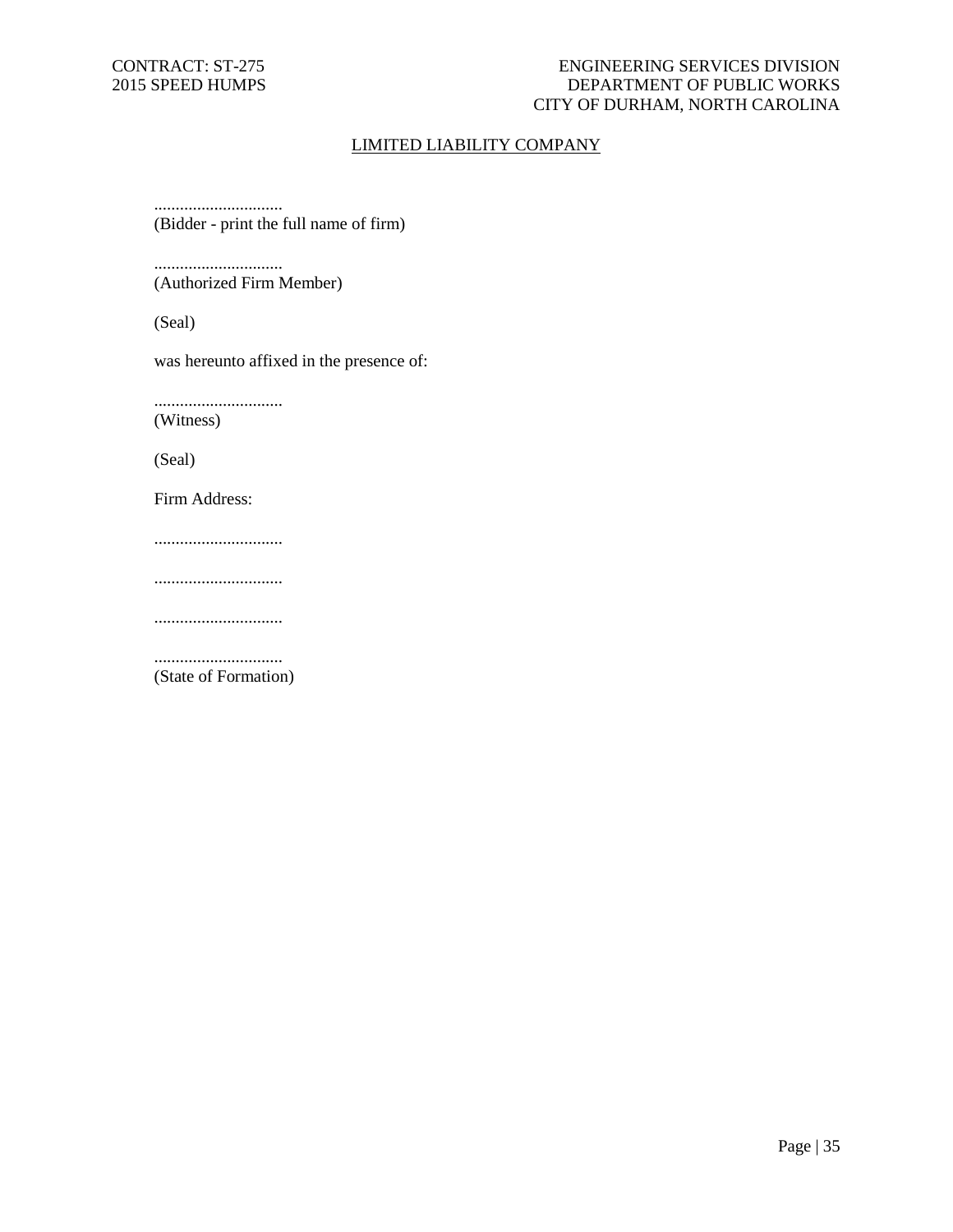# CONTRACT: ST-275 ENGINEERING SERVICES DIVISION 2015 SPEED HUMPS DEPARTMENT OF PUBLIC WORKS CITY OF DURHAM, NORTH CAROLINA

# LIMITED LIABILITY COMPANY

.............................. (Bidder - print the full name of firm)

.............................. (Authorized Firm Member)

(Seal)

was hereunto affixed in the presence of:

..............................

(Witness)

(Seal)

Firm Address:

..............................

..............................

..............................

.............................. (State of Formation)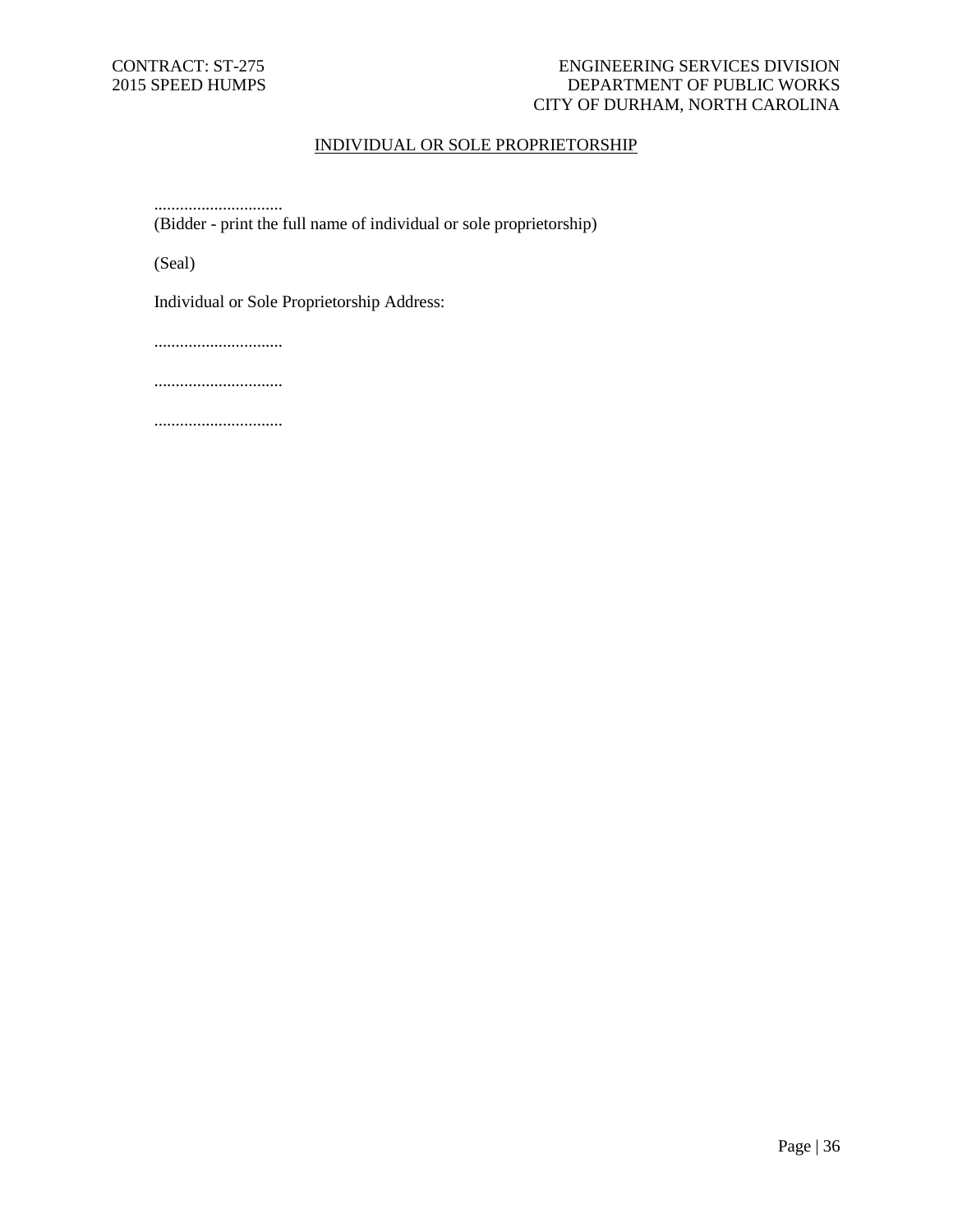# CONTRACT: ST-275 ENGINEERING SERVICES DIVISION 2015 SPEED HUMPS DEPARTMENT OF PUBLIC WORKS CITY OF DURHAM, NORTH CAROLINA

# INDIVIDUAL OR SOLE PROPRIETORSHIP

.............................. (Bidder - print the full name of individual or sole proprietorship)

(Seal)

Individual or Sole Proprietorship Address:

..............................

..............................

..............................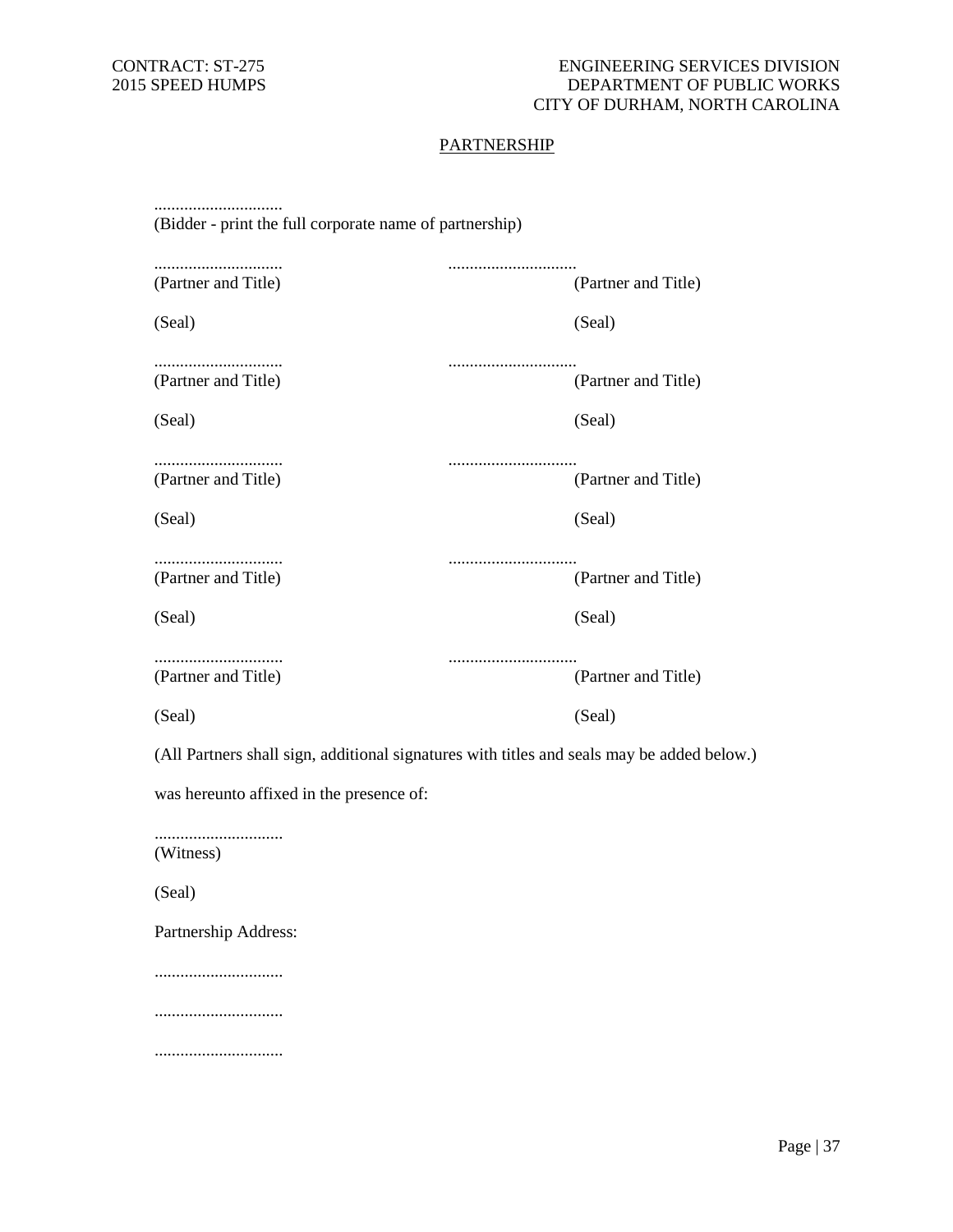# **PARTNERSHIP**

| (Bidder - print the full corporate name of partnership) |                                                                                            |
|---------------------------------------------------------|--------------------------------------------------------------------------------------------|
| (Partner and Title)                                     | (Partner and Title)                                                                        |
| (Seal)                                                  | (Seal)                                                                                     |
| (Partner and Title)                                     | <br>(Partner and Title)                                                                    |
| (Seal)                                                  | (Seal)                                                                                     |
| (Partner and Title)                                     | (Partner and Title)                                                                        |
| (Seal)                                                  | (Seal)                                                                                     |
| (Partner and Title)                                     | (Partner and Title)                                                                        |
| (Seal)                                                  | (Seal)                                                                                     |
| (Partner and Title)                                     | <br>(Partner and Title)                                                                    |
| (Seal)                                                  | (Seal)                                                                                     |
|                                                         | (All Partners shall sign, additional signatures with titles and seals may be added below.) |
| was hereunto affixed in the presence of:                |                                                                                            |
| (Witness)                                               |                                                                                            |
| (Seal)                                                  |                                                                                            |
| Partnership Address:                                    |                                                                                            |
|                                                         |                                                                                            |
|                                                         |                                                                                            |
|                                                         |                                                                                            |